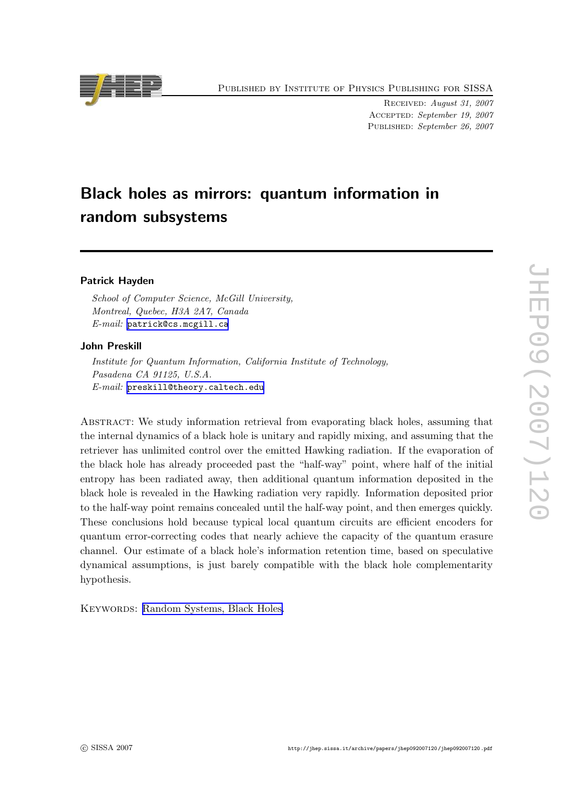Published by Institute of Physics Publishing for SISSA

Received: August 31, 2007 ACCEPTED: September 19, 2007 PUBLISHED: September 26, 2007

# Black holes as mirrors: quantum information in random subsystems

## Patrick Hayden

School of Computer Science, McGill University, Montreal, Quebec, H3A 2A7, Canada E-mail: [patrick@cs.mcgill.ca](mailto:patrick@cs.mcgill.ca)

#### John Preskill

Institute for Quantum Information, California Institute of Technology, Pasadena CA 91125, U.S.A. E-mail: [preskill@theory.caltech.edu](mailto:preskill@theory.caltech.edu)

Abstract: We study information retrieval from evaporating black holes, assuming that the internal dynamics of a black hole is unitary and rapidly mixing, and assuming that the retriever has unlimited control over the emitted Hawking radiation. If the evaporation of the black hole has already proceeded past the "half-way" point, where half of the initial entropy has been radiated away, then additional quantum information deposited in the black hole is revealed in the Hawking radiation very rapidly. Information deposited prior to the half-way point remains concealed until the half-way point, and then emerges quickly. These conclusions hold because typical local quantum circuits are efficient encoders for quantum error-correcting codes that nearly achieve the capacity of the quantum erasure channel. Our estimate of a black hole's information retention time, based on speculative dynamical assumptions, is just barely compatible with the black hole complementarity hypothesis.

KEYWORDS: [Random Systems, Black Holes.](http://jhep.sissa.it/stdsearch)

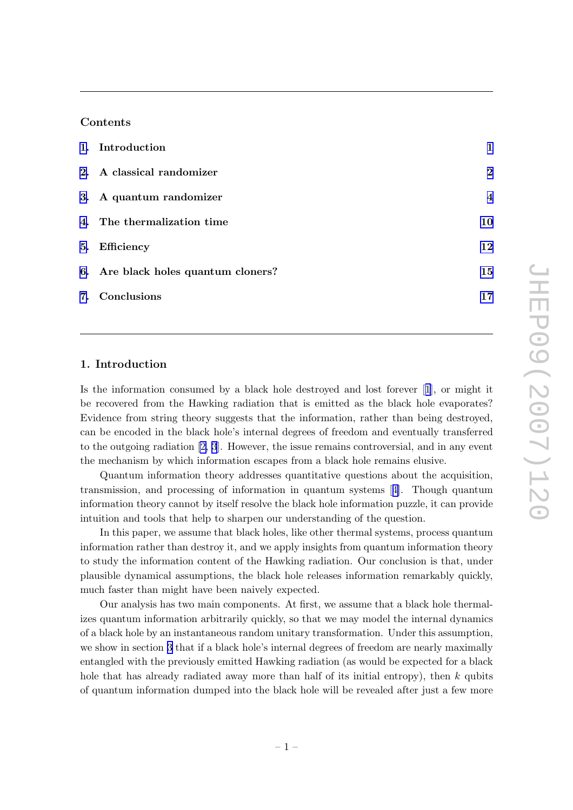## Contents

| 1. Introduction                     | 1                       |
|-------------------------------------|-------------------------|
| 2. A classical randomizer           | $\overline{2}$          |
| 3. A quantum randomizer             | $\overline{\mathbf{4}}$ |
| 4. The thermalization time          | 10                      |
| 5. Efficiency                       | 12                      |
| 6. Are black holes quantum cloners? | 15                      |
| 7. Conclusions                      | 17                      |

# 1. Introduction

Is the information consumed by a black hole destroyed and lost forever[[1](#page-19-0)], or might it be recovered from the Hawking radiation that is emitted as the black hole evaporates? Evidence from string theory suggests that the information, rather than being destroyed, can be encoded in the black hole's internal degrees of freedom and eventually transferred to the outgoing radiation [\[2, 3](#page-19-0)]. However, the issue remains controversial, and in any event the mechanism by which information escapes from a black hole remains elusive.

Quantum information theory addresses quantitative questions about the acquisition, transmission, and processing of information in quantum systems[[4\]](#page-19-0). Though quantum information theory cannot by itself resolve the black hole information puzzle, it can provide intuition and tools that help to sharpen our understanding of the question.

In this paper, we assume that black holes, like other thermal systems, process quantum information rather than destroy it, and we apply insights from quantum information theory to study the information content of the Hawking radiation. Our conclusion is that, under plausible dynamical assumptions, the black hole releases information remarkably quickly, much faster than might have been naively expected.

Our analysis has two main components. At first, we assume that a black hole thermalizes quantum information arbitrarily quickly, so that we may model the internal dynamics of a black hole by an instantaneous random unitary transformation. Under this assumption, we show in section [3](#page-4-0) that if a black hole's internal degrees of freedom are nearly maximally entangled with the previously emitted Hawking radiation (as would be expected for a black hole that has already radiated away more than half of its initial entropy), then  $k$  qubits of quantum information dumped into the black hole will be revealed after just a few more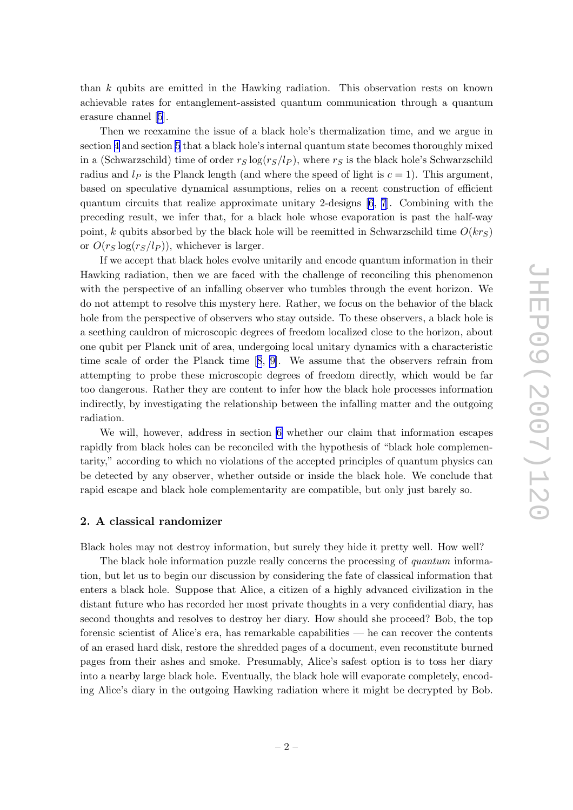<span id="page-2-0"></span>than k qubits are emitted in the Hawking radiation. This observation rests on known achievable rates for entanglement-assisted quantum communication through a quantum erasure channel[[5](#page-19-0)].

Then we reexamine the issue of a black hole's thermalization time, and we argue in section [4](#page-10-0) and section [5](#page-12-0) that a black hole's internal quantum state becomes thoroughly mixed in a (Schwarzschild) time of order  $r_S \log(r_S/l_P)$ , where  $r_S$  is the black hole's Schwarzschild radius and  $l_P$  is the Planck length (and where the speed of light is  $c = 1$ ). This argument, based on speculative dynamical assumptions, relies on a recent construction of efficient quantum circuits that realize approximate unitary 2-designs[[6](#page-19-0), [7](#page-19-0)]. Combining with the preceding result, we infer that, for a black hole whose evaporation is past the half-way point, k qubits absorbed by the black hole will be reemitted in Schwarzschild time  $O(kr_S)$ or  $O(r_S \log(r_S/l_P))$ , whichever is larger.

If we accept that black holes evolve unitarily and encode quantum information in their Hawking radiation, then we are faced with the challenge of reconciling this phenomenon with the perspective of an infalling observer who tumbles through the event horizon. We do not attempt to resolve this mystery here. Rather, we focus on the behavior of the black hole from the perspective of observers who stay outside. To these observers, a black hole is a seething cauldron of microscopic degrees of freedom localized close to the horizon, about one qubit per Planck unit of area, undergoing local unitary dynamics with a characteristic time scale of order the Planck time [\[8](#page-19-0), [9\]](#page-19-0). We assume that the observers refrain from attempting to probe these microscopic degrees of freedom directly, which would be far too dangerous. Rather they are content to infer how the black hole processes information indirectly, by investigating the relationship between the infalling matter and the outgoing radiation.

We will, however, address in section [6](#page-15-0) whether our claim that information escapes rapidly from black holes can be reconciled with the hypothesis of "black hole complementarity," according to which no violations of the accepted principles of quantum physics can be detected by any observer, whether outside or inside the black hole. We conclude that rapid escape and black hole complementarity are compatible, but only just barely so.

## 2. A classical randomizer

Black holes may not destroy information, but surely they hide it pretty well. How well?

The black hole information puzzle really concerns the processing of quantum information, but let us to begin our discussion by considering the fate of classical information that enters a black hole. Suppose that Alice, a citizen of a highly advanced civilization in the distant future who has recorded her most private thoughts in a very confidential diary, has second thoughts and resolves to destroy her diary. How should she proceed? Bob, the top forensic scientist of Alice's era, has remarkable capabilities — he can recover the contents of an erased hard disk, restore the shredded pages of a document, even reconstitute burned pages from their ashes and smoke. Presumably, Alice's safest option is to toss her diary into a nearby large black hole. Eventually, the black hole will evaporate completely, encoding Alice's diary in the outgoing Hawking radiation where it might be decrypted by Bob.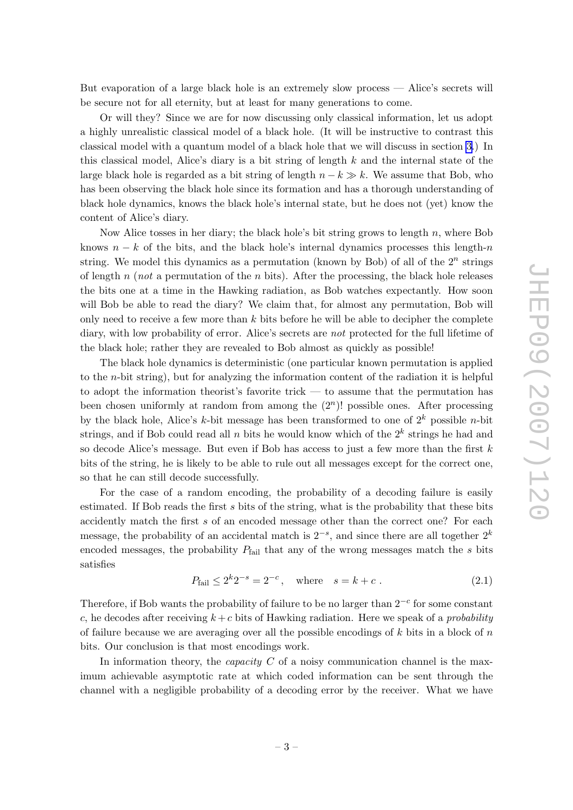<span id="page-3-0"></span>But evaporation of a large black hole is an extremely slow process — Alice's secrets will be secure not for all eternity, but at least for many generations to come.

Or will they? Since we are for now discussing only classical information, let us adopt a highly unrealistic classical model of a black hole. (It will be instructive to contrast this classical model with a quantum model of a black hole that we will discuss in section [3.](#page-4-0)) In this classical model, Alice's diary is a bit string of length k and the internal state of the large black hole is regarded as a bit string of length  $n - k \gg k$ . We assume that Bob, who has been observing the black hole since its formation and has a thorough understanding of black hole dynamics, knows the black hole's internal state, but he does not (yet) know the content of Alice's diary.

Now Alice tosses in her diary; the black hole's bit string grows to length n, where Bob knows  $n - k$  of the bits, and the black hole's internal dynamics processes this length- $n$ string. We model this dynamics as a permutation (known by Bob) of all of the  $2^n$  strings of length  $n$  (not a permutation of the  $n$  bits). After the processing, the black hole releases the bits one at a time in the Hawking radiation, as Bob watches expectantly. How soon will Bob be able to read the diary? We claim that, for almost any permutation, Bob will only need to receive a few more than  $k$  bits before he will be able to decipher the complete diary, with low probability of error. Alice's secrets are not protected for the full lifetime of the black hole; rather they are revealed to Bob almost as quickly as possible!

The black hole dynamics is deterministic (one particular known permutation is applied to the n-bit string), but for analyzing the information content of the radiation it is helpful to adopt the information theorist's favorite trick  $-$  to assume that the permutation has been chosen uniformly at random from among the  $(2^n)!$  possible ones. After processing by the black hole, Alice's k-bit message has been transformed to one of  $2^k$  possible n-bit strings, and if Bob could read all n bits he would know which of the  $2^k$  strings he had and so decode Alice's message. But even if Bob has access to just a few more than the first  $k$ bits of the string, he is likely to be able to rule out all messages except for the correct one, so that he can still decode successfully.

For the case of a random encoding, the probability of a decoding failure is easily estimated. If Bob reads the first s bits of the string, what is the probability that these bits accidently match the first s of an encoded message other than the correct one? For each message, the probability of an accidental match is  $2^{-s}$ , and since there are all together  $2^k$ encoded messages, the probability  $P_{\text{fail}}$  that any of the wrong messages match the s bits satisfies

$$
P_{\text{fail}} \le 2^k 2^{-s} = 2^{-c}, \text{ where } s = k + c.
$$
 (2.1)

Therefore, if Bob wants the probability of failure to be no larger than  $2^{-c}$  for some constant c, he decodes after receiving  $k+c$  bits of Hawking radiation. Here we speak of a *probability* of failure because we are averaging over all the possible encodings of  $k$  bits in a block of  $n$ bits. Our conclusion is that most encodings work.

In information theory, the *capacity*  $C$  of a noisy communication channel is the maximum achievable asymptotic rate at which coded information can be sent through the channel with a negligible probability of a decoding error by the receiver. What we have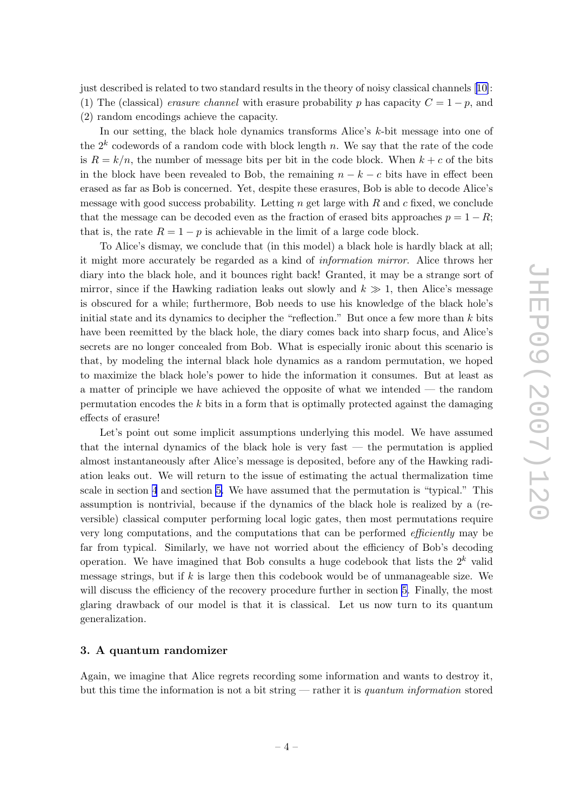<span id="page-4-0"></span>just described is related to two standard results in the theory of noisy classical channels[[10\]](#page-19-0): (1) The (classical) erasure channel with erasure probability p has capacity  $C = 1 - p$ , and (2) random encodings achieve the capacity.

In our setting, the black hole dynamics transforms Alice's k-bit message into one of the  $2^k$  codewords of a random code with block length n. We say that the rate of the code is  $R = k/n$ , the number of message bits per bit in the code block. When  $k + c$  of the bits in the block have been revealed to Bob, the remaining  $n - k - c$  bits have in effect been erased as far as Bob is concerned. Yet, despite these erasures, Bob is able to decode Alice's message with good success probability. Letting  $n$  get large with  $R$  and  $c$  fixed, we conclude that the message can be decoded even as the fraction of erased bits approaches  $p = 1 - R$ ; that is, the rate  $R = 1 - p$  is achievable in the limit of a large code block.

To Alice's dismay, we conclude that (in this model) a black hole is hardly black at all; it might more accurately be regarded as a kind of information mirror. Alice throws her diary into the black hole, and it bounces right back! Granted, it may be a strange sort of mirror, since if the Hawking radiation leaks out slowly and  $k \gg 1$ , then Alice's message is obscured for a while; furthermore, Bob needs to use his knowledge of the black hole's initial state and its dynamics to decipher the "reflection." But once a few more than  $k$  bits have been reemitted by the black hole, the diary comes back into sharp focus, and Alice's secrets are no longer concealed from Bob. What is especially ironic about this scenario is that, by modeling the internal black hole dynamics as a random permutation, we hoped to maximize the black hole's power to hide the information it consumes. But at least as a matter of principle we have achieved the opposite of what we intended — the random permutation encodes the k bits in a form that is optimally protected against the damaging effects of erasure!

Let's point out some implicit assumptions underlying this model. We have assumed that the internal dynamics of the black hole is very fast — the permutation is applied almost instantaneously after Alice's message is deposited, before any of the Hawking radiation leaks out. We will return to the issue of estimating the actual thermalization time scale in section [4](#page-10-0) and section [5.](#page-12-0) We have assumed that the permutation is "typical." This assumption is nontrivial, because if the dynamics of the black hole is realized by a (reversible) classical computer performing local logic gates, then most permutations require very long computations, and the computations that can be performed *efficiently* may be far from typical. Similarly, we have not worried about the efficiency of Bob's decoding operation. We have imagined that Bob consults a huge codebook that lists the  $2^k$  valid message strings, but if k is large then this codebook would be of unmanageable size. We will discuss the efficiency of the recovery procedure further in section [5.](#page-12-0) Finally, the most glaring drawback of our model is that it is classical. Let us now turn to its quantum generalization.

#### 3. A quantum randomizer

Again, we imagine that Alice regrets recording some information and wants to destroy it, but this time the information is not a bit string — rather it is quantum information stored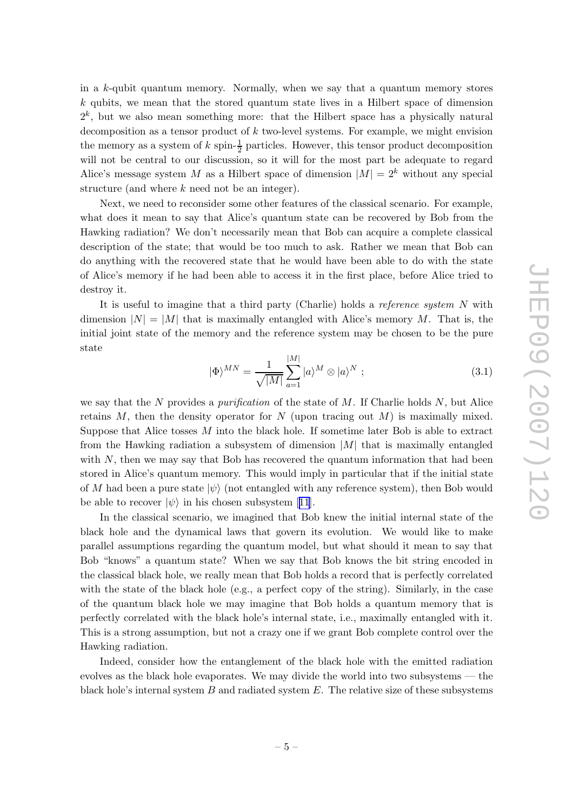in a k-qubit quantum memory. Normally, when we say that a quantum memory stores  $k$  qubits, we mean that the stored quantum state lives in a Hilbert space of dimension  $2^k$ , but we also mean something more: that the Hilbert space has a physically natural decomposition as a tensor product of k two-level systems. For example, we might envision the memory as a system of  $k$  spin- $\frac{1}{2}$  particles. However, this tensor product decomposition will not be central to our discussion, so it will for the most part be adequate to regard Alice's message system M as a Hilbert space of dimension  $|M| = 2<sup>k</sup>$  without any special structure (and where k need not be an integer).

Next, we need to reconsider some other features of the classical scenario. For example, what does it mean to say that Alice's quantum state can be recovered by Bob from the Hawking radiation? We don't necessarily mean that Bob can acquire a complete classical description of the state; that would be too much to ask. Rather we mean that Bob can do anything with the recovered state that he would have been able to do with the state of Alice's memory if he had been able to access it in the first place, before Alice tried to destroy it.

It is useful to imagine that a third party (Charlie) holds a *reference system* N with dimension  $|N| = |M|$  that is maximally entangled with Alice's memory M. That is, the initial joint state of the memory and the reference system may be chosen to be the pure state

$$
|\Phi\rangle^{MN} = \frac{1}{\sqrt{|M|}} \sum_{a=1}^{|M|} |a\rangle^M \otimes |a\rangle^N ; \qquad (3.1)
$$

we say that the  $N$  provides a *purification* of the state of  $M$ . If Charlie holds  $N$ , but Alice retains M, then the density operator for N (upon tracing out M) is maximally mixed. Suppose that Alice tosses M into the black hole. If sometime later Bob is able to extract from the Hawking radiation a subsystem of dimension  $|M|$  that is maximally entangled with N, then we may say that Bob has recovered the quantum information that had been stored in Alice's quantum memory. This would imply in particular that if the initial state of M had been a pure state  $|\psi\rangle$  (not entangled with any reference system), then Bob would beable to recover  $|\psi\rangle$  in his chosen subsystem [[11](#page-20-0)].

In the classical scenario, we imagined that Bob knew the initial internal state of the black hole and the dynamical laws that govern its evolution. We would like to make parallel assumptions regarding the quantum model, but what should it mean to say that Bob "knows" a quantum state? When we say that Bob knows the bit string encoded in the classical black hole, we really mean that Bob holds a record that is perfectly correlated with the state of the black hole (e.g., a perfect copy of the string). Similarly, in the case of the quantum black hole we may imagine that Bob holds a quantum memory that is perfectly correlated with the black hole's internal state, i.e., maximally entangled with it. This is a strong assumption, but not a crazy one if we grant Bob complete control over the Hawking radiation.

Indeed, consider how the entanglement of the black hole with the emitted radiation evolves as the black hole evaporates. We may divide the world into two subsystems — the black hole's internal system  $B$  and radiated system  $E$ . The relative size of these subsystems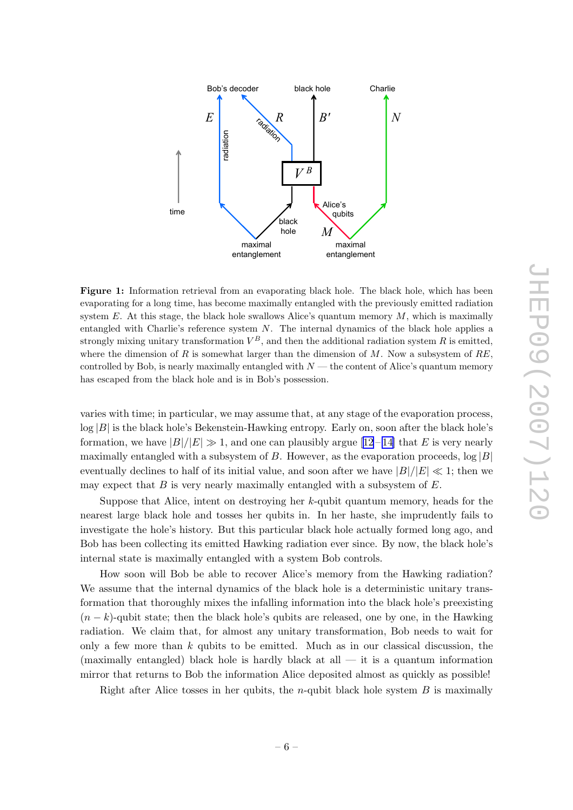<span id="page-6-0"></span>

Figure 1: Information retrieval from an evaporating black hole. The black hole, which has been evaporating for a long time, has become maximally entangled with the previously emitted radiation system E. At this stage, the black hole swallows Alice's quantum memory  $M$ , which is maximally entangled with Charlie's reference system  $N$ . The internal dynamics of the black hole applies a strongly mixing unitary transformation  $V^B$ , and then the additional radiation system R is emitted, where the dimension of R is somewhat larger than the dimension of M. Now a subsystem of  $RE$ , controlled by Bob, is nearly maximally entangled with  $N$  — the content of Alice's quantum memory has escaped from the black hole and is in Bob's possession.

varies with time; in particular, we may assume that, at any stage of the evaporation process,  $log |B|$  is the black hole's Bekenstein-Hawking entropy. Early on, soon after the black hole's formation, we have  $|B|/|E| \gg 1$ , and one can plausibly argue  $[12-14]$  that E is very nearly maximally entangled with a subsystem of  $B$ . However, as the evaporation proceeds,  $\log |B|$ eventually declines to half of its initial value, and soon after we have  $|B|/|E| \ll 1$ ; then we may expect that  $B$  is very nearly maximally entangled with a subsystem of  $E$ .

Suppose that Alice, intent on destroying her k-qubit quantum memory, heads for the nearest large black hole and tosses her qubits in. In her haste, she imprudently fails to investigate the hole's history. But this particular black hole actually formed long ago, and Bob has been collecting its emitted Hawking radiation ever since. By now, the black hole's internal state is maximally entangled with a system Bob controls.

How soon will Bob be able to recover Alice's memory from the Hawking radiation? We assume that the internal dynamics of the black hole is a deterministic unitary transformation that thoroughly mixes the infalling information into the black hole's preexisting  $(n - k)$ -qubit state; then the black hole's qubits are released, one by one, in the Hawking radiation. We claim that, for almost any unitary transformation, Bob needs to wait for only a few more than  $k$  qubits to be emitted. Much as in our classical discussion, the (maximally entangled) black hole is hardly black at all  $-$  it is a quantum information mirror that returns to Bob the information Alice deposited almost as quickly as possible!

Right after Alice tosses in her qubits, the *n*-qubit black hole system  $B$  is maximally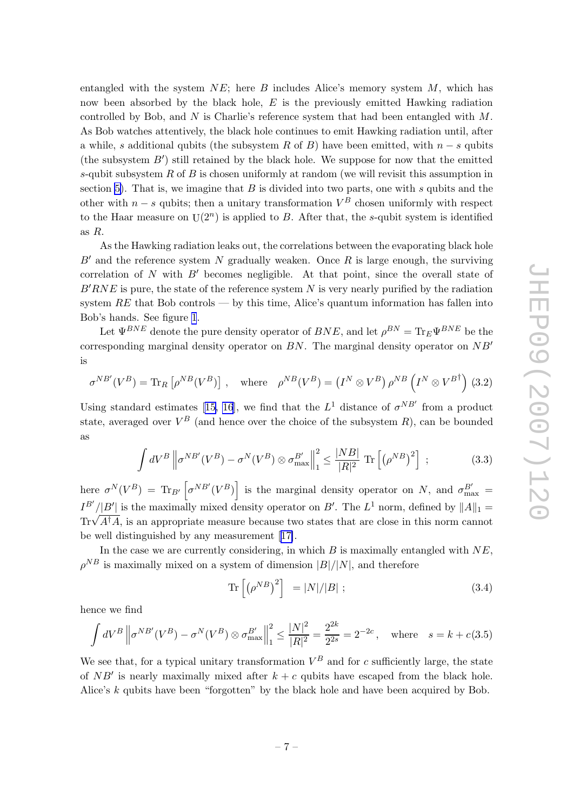<span id="page-7-0"></span>entangled with the system  $NE$ ; here B includes Alice's memory system M, which has now been absorbed by the black hole, E is the previously emitted Hawking radiation controlled by Bob, and N is Charlie's reference system that had been entangled with  $M$ . As Bob watches attentively, the black hole continues to emit Hawking radiation until, after a while, s additional qubits (the subsystem R of B) have been emitted, with  $n - s$  qubits (the subsystem  $B'$ ) still retained by the black hole. We suppose for now that the emitted s-qubit subsystem  $R$  of  $B$  is chosen uniformly at random (we will revisit this assumption in section [5\)](#page-12-0). That is, we imagine that  $B$  is divided into two parts, one with  $s$  qubits and the other with  $n - s$  qubits; then a unitary transformation  $V^B$  chosen uniformly with respect to the Haar measure on  $U(2^n)$  is applied to B. After that, the s-qubit system is identified as R .

As the Hawking radiation leaks out, the correlations between the evaporating black hole  $B'$  and the reference system N gradually weaken. Once R is large enough, the surviving correlation of  $N$  with  $B'$  becomes negligible. At that point, since the overall state of  $B'RNE$  is pure, the state of the reference system  $N$  is very nearly purified by the radiation system  $RE$  that Bob controls — by this time, Alice's quantum information has fallen into Bob's hands. See figure [1](#page-6-0).

Let  $\Psi^{BNE}$  denote the pure density operator of  $BNE$ , and let  $\rho^{BN} = \text{Tr}_E \Psi^{BNE}$  be the corresponding marginal density operator on  $BN$ . The marginal density operator on  $NB'$ is

$$
\sigma^{NB'}(V^B) = \text{Tr}_R\left[\rho^{NB}(V^B)\right], \quad \text{where} \quad \rho^{NB}(V^B) = (I^N \otimes V^B) \rho^{NB}\left(I^N \otimes V^{B\dagger}\right)
$$
 (3.2)

Using standard estimates [\[15, 16](#page-20-0)], we find that the  $L^1$  distance of  $\sigma^{NB'}$  from a product state, averaged over  $V^B$  (and hence over the choice of the subsystem R), can be bounded as

$$
\int dV^B \left\| \sigma^{NB'}(V^B) - \sigma^N(V^B) \otimes \sigma_{\text{max}}^{B'} \right\|_1^2 \le \frac{|NB|}{|R|^2} \text{ Tr}\left[ \left( \rho^{NB} \right)^2 \right] ;\tag{3.3}
$$

here  $\sigma^N(V^B) = \text{Tr}_{B'}\left[\sigma^{NB'}(V^B)\right]$  is the marginal density operator on N, and  $\sigma_{\text{ma}}^{B'}$  $_{\rm max}^{\rm \scriptscriptstyle B'}$  =  $I^{B'}/|B'|$  is the maximally mixed density operator on B'. The  $L^1$  norm, defined by  $||A||_1 =$  $Tr \sqrt{A^{\dagger}A}$ , is an appropriate measure because two states that are close in this norm cannot be well distinguished by any measurement[[17\]](#page-20-0).

In the case we are currently considering, in which  $B$  is maximally entangled with  $NE$ ,  $\rho^{NB}$  is maximally mixed on a system of dimension  $|B|/|N|$ , and therefore

$$
\operatorname{Tr}\left[\left(\rho^{NB}\right)^2\right] = |N|/|B| \; ; \tag{3.4}
$$

hence we find

$$
\int dV^B \left\| \sigma^{NB'}(V^B) - \sigma^N(V^B) \otimes \sigma_{\text{max}}^{B'} \right\|_1^2 \le \frac{|N|^2}{|R|^2} = \frac{2^{2k}}{2^{2s}} = 2^{-2c}, \text{ where } s = k + c(3.5)
$$

We see that, for a typical unitary transformation  $V^B$  and for c sufficiently large, the state of  $NB'$  is nearly maximally mixed after  $k + c$  qubits have escaped from the black hole. Alice's k qubits have been "forgotten" by the black hole and have been acquired by Bob.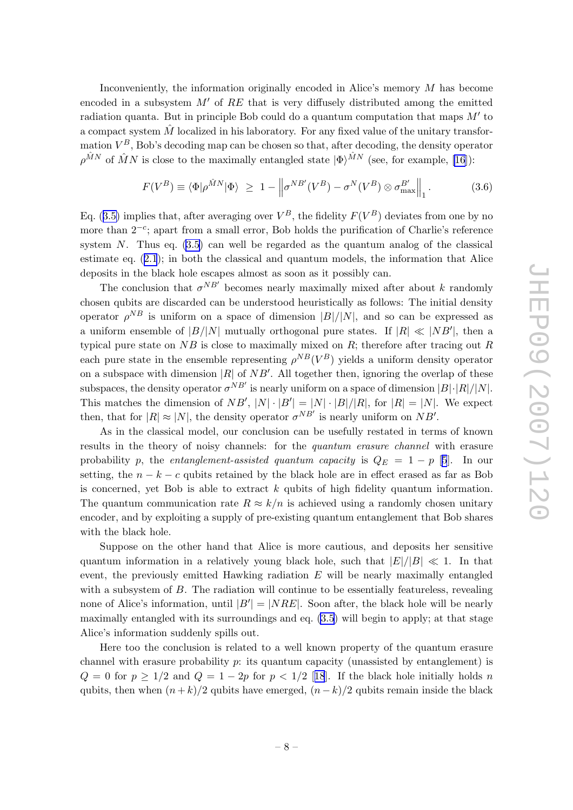Inconveniently, the information originally encoded in Alice's memory M has become encoded in a subsystem  $M'$  of RE that is very diffusely distributed among the emitted radiation quanta. But in principle Bob could do a quantum computation that maps  $M'$  to a compact system  $\hat{M}$  localized in his laboratory. For any fixed value of the unitary transformation  $V^B$ , Bob's decoding map can be chosen so that, after decoding, the density operator  $\rho^{\hat{M}N}$  of  $\hat{M}N$  is close to the maximally entangled state  $|\Phi\rangle^{\hat{M}N}$  (see, for example, [\[16](#page-20-0)]):

$$
F(V^B) \equiv \langle \Phi | \rho^{\hat{M}N} | \Phi \rangle \ge 1 - \left\| \sigma^{NB'}(V^B) - \sigma^N(V^B) \otimes \sigma_{\text{max}}^{B'} \right\|_1.
$$
 (3.6)

Eq. ([3.5\)](#page-7-0) implies that, after averaging over  $V^B$ , the fidelity  $F(V^B)$  deviates from one by no more than  $2^{-c}$ ; apart from a small error, Bob holds the purification of Charlie's reference system N. Thus eq. [\(3.5](#page-7-0)) can well be regarded as the quantum analog of the classical estimate eq. ([2.1](#page-3-0)); in both the classical and quantum models, the information that Alice deposits in the black hole escapes almost as soon as it possibly can.

The conclusion that  $\sigma^{NB'}$  becomes nearly maximally mixed after about k randomly chosen qubits are discarded can be understood heuristically as follows: The initial density operator  $\rho^{NB}$  is uniform on a space of dimension  $|B|/|N|$ , and so can be expressed as a uniform ensemble of  $|B/|N|$  mutually orthogonal pure states. If  $|R| \ll |NB'|$ , then a typical pure state on  $NB$  is close to maximally mixed on  $R$ ; therefore after tracing out  $R$ each pure state in the ensemble representing  $\rho^{NB}(V^B)$  yields a uniform density operator on a subspace with dimension |R| of  $NB'$ . All together then, ignoring the overlap of these subspaces, the density operator  $\sigma^{NB'}$  is nearly uniform on a space of dimension  $|B|\cdot|R|/|N|$ . This matches the dimension of  $NB'$ ,  $|N| \cdot |B'| = |N| \cdot |B|/|R|$ , for  $|R| = |N|$ . We expect then, that for  $|R| \approx |N|$ , the density operator  $\sigma^{NB'}$  is nearly uniform on  $NB'$ .

As in the classical model, our conclusion can be usefully restated in terms of known results in the theory of noisy channels: for the quantum erasure channel with erasure probability p, the *entanglement-assisted quantum capacity* is  $Q_E = 1 - p$  [\[5](#page-19-0)]. In our setting, the  $n - k - c$  qubits retained by the black hole are in effect erased as far as Bob is concerned, yet Bob is able to extract k qubits of high fidelity quantum information. The quantum communication rate  $R \approx k/n$  is achieved using a randomly chosen unitary encoder, and by exploiting a supply of pre-existing quantum entanglement that Bob shares with the black hole.

Suppose on the other hand that Alice is more cautious, and deposits her sensitive quantum information in a relatively young black hole, such that  $|E|/|B| \ll 1$ . In that event, the previously emitted Hawking radiation E will be nearly maximally entangled with a subsystem of B. The radiation will continue to be essentially featureless, revealing none of Alice's information, until  $|B'| = |NRE|$ . Soon after, the black hole will be nearly maximally entangled with its surroundings and eq. [\(3.5\)](#page-7-0) will begin to apply; at that stage Alice's information suddenly spills out.

Here too the conclusion is related to a well known property of the quantum erasure channel with erasure probability p: its quantum capacity (unassisted by entanglement) is  $Q = 0$  $Q = 0$  $Q = 0$  for  $p \ge 1/2$  and  $Q = 1 - 2p$  for  $p < 1/2$  [[18](#page-20-0)]. If the black hole initially holds n qubits, then when  $(n+k)/2$  qubits have emerged,  $(n-k)/2$  qubits remain inside the black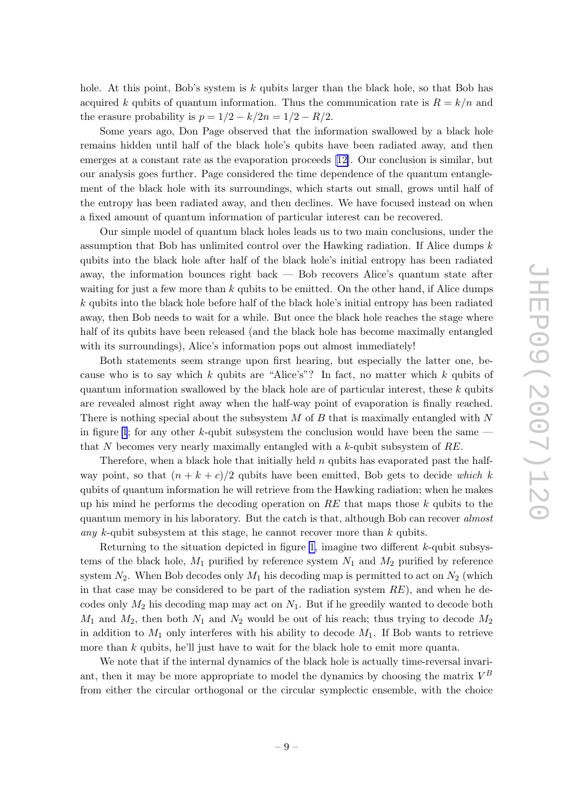hole. At this point, Bob's system is k qubits larger than the black hole, so that Bob has acquired k qubits of quantum information. Thus the communication rate is  $R = k/n$  and the erasure probability is  $p = 1/2 - k/2n = 1/2 - R/2$ .

Some years ago, Don Page observed that the information swallowed by a black hole remains hidden until half of the black hole's qubits have been radiated away, and then emerges at a constant rate as the evaporation proceeds[[12\]](#page-20-0). Our conclusion is similar, but our analysis goes further. Page considered the time dependence of the quantum entanglement of the black hole with its surroundings, which starts out small, grows until half of the entropy has been radiated away, and then declines. We have focused instead on when a fixed amount of quantum information of particular interest can be recovered.

Our simple model of quantum black holes leads us to two main conclusions, under the assumption that Bob has unlimited control over the Hawking radiation. If Alice dumps k qubits into the black hole after half of the black hole's initial entropy has been radiated away, the information bounces right back — Bob recovers Alice's quantum state after waiting for just a few more than  $k$  qubits to be emitted. On the other hand, if Alice dumps  $k$  qubits into the black hole before half of the black hole's initial entropy has been radiated away, then Bob needs to wait for a while. But once the black hole reaches the stage where half of its qubits have been released (and the black hole has become maximally entangled with its surroundings), Alice's information pops out almost immediately!

Both statements seem strange upon first hearing, but especially the latter one, because who is to say which k qubits are "Alice's"? In fact, no matter which k qubits of quantum information swallowed by the black hole are of particular interest, these k qubits are revealed almost right away when the half-way point of evaporation is finally reached. There is nothing special about the subsystem  $M$  of  $B$  that is maximally entangled with  $N$ in figure [1](#page-6-0); for any other k-qubit subsystem the conclusion would have been the same  $$ that N becomes very nearly maximally entangled with a k-qubit subsystem of RE.

Therefore, when a black hole that initially held n qubits has evaporated past the halfway point, so that  $(n + k + c)/2$  qubits have been emitted, Bob gets to decide which k qubits of quantum information he will retrieve from the Hawking radiation; when he makes up his mind he performs the decoding operation on  $RE$  that maps those  $k$  qubits to the quantum memory in his laboratory. But the catch is that, although Bob can recover almost any k-qubit subsystem at this stage, he cannot recover more than k qubits.

Returning to the situation depicted in figure [1,](#page-6-0) imagine two different k-qubit subsystems of the black hole,  $M_1$  purified by reference system  $N_1$  and  $M_2$  purified by reference system  $N_2$ . When Bob decodes only  $M_1$  his decoding map is permitted to act on  $N_2$  (which in that case may be considered to be part of the radiation system  $RE$ ), and when he decodes only  $M_2$  his decoding map may act on  $N_1$ . But if he greedily wanted to decode both  $M_1$  and  $M_2$ , then both  $N_1$  and  $N_2$  would be out of his reach; thus trying to decode  $M_2$ in addition to  $M_1$  only interferes with his ability to decode  $M_1$ . If Bob wants to retrieve more than k qubits, he'll just have to wait for the black hole to emit more quanta.

We note that if the internal dynamics of the black hole is actually time-reversal invariant, then it may be more appropriate to model the dynamics by choosing the matrix  $V^B$ from either the circular orthogonal or the circular symplectic ensemble, with the choice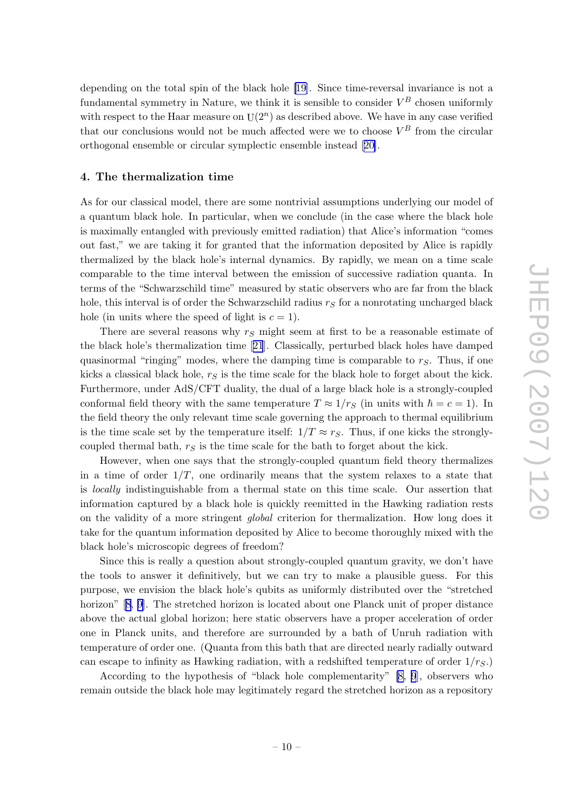<span id="page-10-0"></span>depending on the total spin of the black hole [\[19\]](#page-20-0). Since time-reversal invariance is not a fundamental symmetry in Nature, we think it is sensible to consider  $V^B$  chosen uniformly with respect to the Haar measure on  $U(2^n)$  as described above. We have in any case verified that our conclusions would not be much affected were we to choose  $V^B$  from the circular orthogonal ensemble or circular symplectic ensemble instead[[20\]](#page-20-0).

## 4. The thermalization time

As for our classical model, there are some nontrivial assumptions underlying our model of a quantum black hole. In particular, when we conclude (in the case where the black hole is maximally entangled with previously emitted radiation) that Alice's information "comes out fast," we are taking it for granted that the information deposited by Alice is rapidly thermalized by the black hole's internal dynamics. By rapidly, we mean on a time scale comparable to the time interval between the emission of successive radiation quanta. In terms of the "Schwarzschild time" measured by static observers who are far from the black hole, this interval is of order the Schwarzschild radius  $r_S$  for a nonrotating uncharged black hole (in units where the speed of light is  $c = 1$ ).

There are several reasons why  $r_s$  might seem at first to be a reasonable estimate of the black hole's thermalization time[[21](#page-20-0)]. Classically, perturbed black holes have damped quasinormal "ringing" modes, where the damping time is comparable to  $r<sub>S</sub>$ . Thus, if one kicks a classical black hole,  $r_S$  is the time scale for the black hole to forget about the kick. Furthermore, under AdS/CFT duality, the dual of a large black hole is a strongly-coupled conformal field theory with the same temperature  $T \approx 1/r_s$  (in units with  $\hbar = c = 1$ ). In the field theory the only relevant time scale governing the approach to thermal equilibrium is the time scale set by the temperature itself:  $1/T \approx r_S$ . Thus, if one kicks the stronglycoupled thermal bath,  $r<sub>S</sub>$  is the time scale for the bath to forget about the kick.

However, when one says that the strongly-coupled quantum field theory thermalizes in a time of order  $1/T$ , one ordinarily means that the system relaxes to a state that is locally indistinguishable from a thermal state on this time scale. Our assertion that information captured by a black hole is quickly reemitted in the Hawking radiation rests on the validity of a more stringent global criterion for thermalization. How long does it take for the quantum information deposited by Alice to become thoroughly mixed with the black hole's microscopic degrees of freedom?

Since this is really a question about strongly-coupled quantum gravity, we don't have the tools to answer it definitively, but we can try to make a plausible guess. For this purpose, we envision the black hole's qubits as uniformly distributed over the "stretched horizon"[[8, 9](#page-19-0)]. The stretched horizon is located about one Planck unit of proper distance above the actual global horizon; here static observers have a proper acceleration of order one in Planck units, and therefore are surrounded by a bath of Unruh radiation with temperature of order one. (Quanta from this bath that are directed nearly radially outward can escape to infinity as Hawking radiation, with a redshifted temperature of order  $1/r_S$ .)

According to the hypothesis of "black hole complementarity" [\[8, 9](#page-19-0)], observers who remain outside the black hole may legitimately regard the stretched horizon as a repository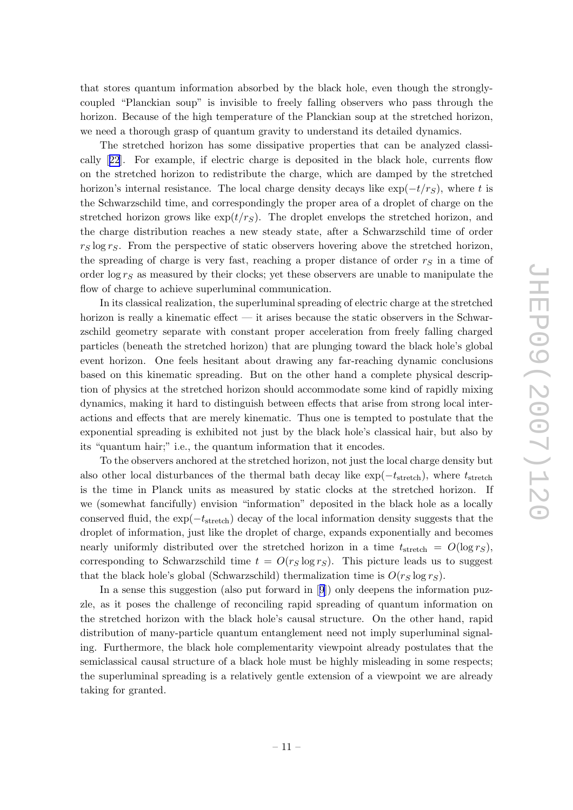that stores quantum information absorbed by the black hole, even though the stronglycoupled "Planckian soup" is invisible to freely falling observers who pass through the horizon. Because of the high temperature of the Planckian soup at the stretched horizon, we need a thorough grasp of quantum gravity to understand its detailed dynamics.

The stretched horizon has some dissipative properties that can be analyzed classically[[22](#page-20-0)]. For example, if electric charge is deposited in the black hole, currents flow on the stretched horizon to redistribute the charge, which are damped by the stretched horizon's internal resistance. The local charge density decays like  $\exp(-t/r_s)$ , where t is the Schwarzschild time, and correspondingly the proper area of a droplet of charge on the stretched horizon grows like  $\exp(t/r_S)$ . The droplet envelops the stretched horizon, and the charge distribution reaches a new steady state, after a Schwarzschild time of order  $r<sub>S</sub>$  log r<sub>S</sub>. From the perspective of static observers hovering above the stretched horizon, the spreading of charge is very fast, reaching a proper distance of order  $r<sub>S</sub>$  in a time of order  $\log r_S$  as measured by their clocks; yet these observers are unable to manipulate the flow of charge to achieve superluminal communication.

In its classical realization, the superluminal spreading of electric charge at the stretched horizon is really a kinematic effect — it arises because the static observers in the Schwarzschild geometry separate with constant proper acceleration from freely falling charged particles (beneath the stretched horizon) that are plunging toward the black hole's global event horizon. One feels hesitant about drawing any far-reaching dynamic conclusions based on this kinematic spreading. But on the other hand a complete physical description of physics at the stretched horizon should accommodate some kind of rapidly mixing dynamics, making it hard to distinguish between effects that arise from strong local interactions and effects that are merely kinematic. Thus one is tempted to postulate that the exponential spreading is exhibited not just by the black hole's classical hair, but also by its "quantum hair;" i.e., the quantum information that it encodes.

To the observers anchored at the stretched horizon, not just the local charge density but also other local disturbances of the thermal bath decay like  $\exp(-t_{\text{stretch}})$ , where  $t_{\text{stretch}}$ is the time in Planck units as measured by static clocks at the stretched horizon. If we (somewhat fancifully) envision "information" deposited in the black hole as a locally conserved fluid, the  $\exp(-t_{\text{stretch}})$  decay of the local information density suggests that the droplet of information, just like the droplet of charge, expands exponentially and becomes nearly uniformly distributed over the stretched horizon in a time  $t_{\text{stretch}} = O(\log r_S)$ , corresponding to Schwarzschild time  $t = O(r_S \log r_S)$ . This picture leads us to suggest that the black hole's global (Schwarzschild) thermalization time is  $O(r_S \log r_S)$ .

In a sense this suggestion (also put forward in[[9\]](#page-19-0)) only deepens the information puzzle, as it poses the challenge of reconciling rapid spreading of quantum information on the stretched horizon with the black hole's causal structure. On the other hand, rapid distribution of many-particle quantum entanglement need not imply superluminal signaling. Furthermore, the black hole complementarity viewpoint already postulates that the semiclassical causal structure of a black hole must be highly misleading in some respects; the superluminal spreading is a relatively gentle extension of a viewpoint we are already taking for granted.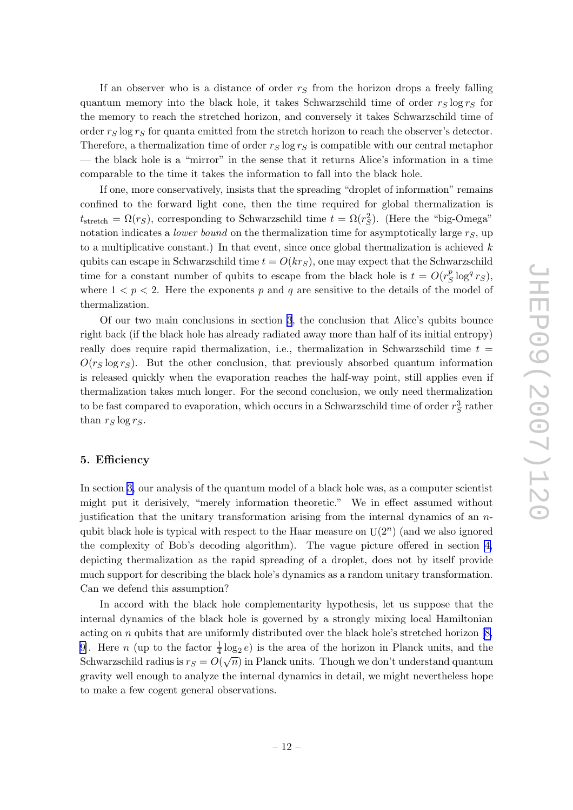<span id="page-12-0"></span>If an observer who is a distance of order  $r<sub>S</sub>$  from the horizon drops a freely falling quantum memory into the black hole, it takes Schwarzschild time of order  $r_s \log r_s$  for the memory to reach the stretched horizon, and conversely it takes Schwarzschild time of order  $r_S \log r_S$  for quanta emitted from the stretch horizon to reach the observer's detector. Therefore, a thermalization time of order  $r_S \log r_S$  is compatible with our central metaphor — the black hole is a "mirror" in the sense that it returns Alice's information in a time comparable to the time it takes the information to fall into the black hole.

If one, more conservatively, insists that the spreading "droplet of information" remains confined to the forward light cone, then the time required for global thermalization is  $t_{\text{stretch}} = \Omega(r_S)$ , corresponding to Schwarzschild time  $t = \Omega(r_S^2)$ . (Here the "big-Omega" notation indicates a *lower bound* on the thermalization time for asymptotically large  $r_S$ , up to a multiplicative constant.) In that event, since once global thermalization is achieved  $k$ qubits can escape in Schwarzschild time  $t = O(kr_S)$ , one may expect that the Schwarzschild time for a constant number of qubits to escape from the black hole is  $t = O(r_S^p \log^q r_S)$ , where  $1 < p < 2$ . Here the exponents p and q are sensitive to the details of the model of thermalization.

Of our two main conclusions in section [3](#page-4-0), the conclusion that Alice's qubits bounce right back (if the black hole has already radiated away more than half of its initial entropy) really does require rapid thermalization, i.e., thermalization in Schwarzschild time  $t =$  $O(r_S \log r_S)$ . But the other conclusion, that previously absorbed quantum information is released quickly when the evaporation reaches the half-way point, still applies even if thermalization takes much longer. For the second conclusion, we only need thermalization to be fast compared to evaporation, which occurs in a Schwarzschild time of order  $r_S^3$  rather than  $r_S \log r_S$ .

#### 5. Efficiency

In section [3,](#page-4-0) our analysis of the quantum model of a black hole was, as a computer scientist might put it derisively, "merely information theoretic." We in effect assumed without justification that the unitary transformation arising from the internal dynamics of an nqubit black hole is typical with respect to the Haar measure on  $U(2^n)$  (and we also ignored the complexity of Bob's decoding algorithm). The vague picture offered in section [4,](#page-10-0) depicting thermalization as the rapid spreading of a droplet, does not by itself provide much support for describing the black hole's dynamics as a random unitary transformation. Can we defend this assumption?

In accord with the black hole complementarity hypothesis, let us suppose that the internal dynamics of the black hole is governed by a strongly mixing local Hamiltonian acting on n qubits that are uniformly distributed over the black hole's stretched horizon [\[8,](#page-19-0) 9. Here *n* (up to the factor  $\frac{1}{4} \log_2 e$ ) is the area of the horizon in Planck units, and the Schwarzschild radius is  $r_S = O(\sqrt{n})$  in Planck units. Though we don't understand quantum gravity well enough to analyze the internal dynamics in detail, we might nevertheless hope to make a few cogent general observations.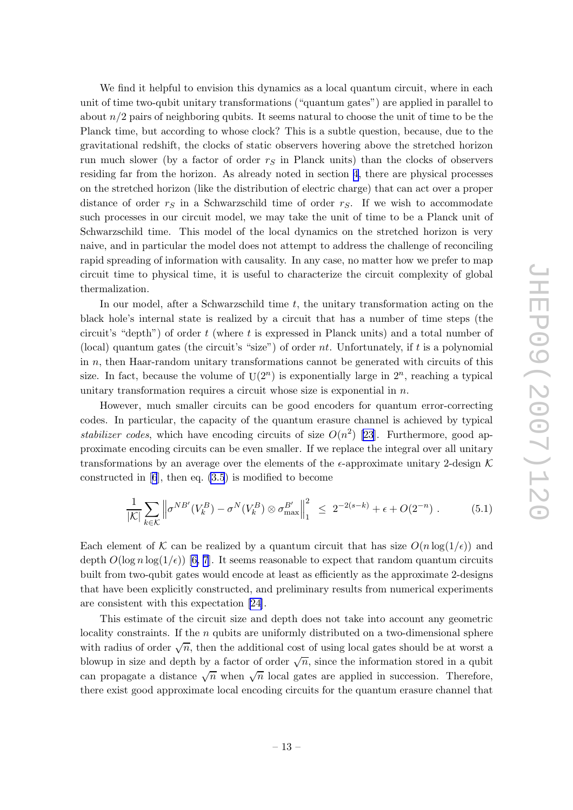<span id="page-13-0"></span>We find it helpful to envision this dynamics as a local quantum circuit, where in each unit of time two-qubit unitary transformations ("quantum gates") are applied in parallel to about  $n/2$  pairs of neighboring qubits. It seems natural to choose the unit of time to be the Planck time, but according to whose clock? This is a subtle question, because, due to the gravitational redshift, the clocks of static observers hovering above the stretched horizon run much slower (by a factor of order  $r_s$  in Planck units) than the clocks of observers residing far from the horizon. As already noted in section [4](#page-10-0), there are physical processes on the stretched horizon (like the distribution of electric charge) that can act over a proper distance of order  $r_S$  in a Schwarzschild time of order  $r_S$ . If we wish to accommodate such processes in our circuit model, we may take the unit of time to be a Planck unit of Schwarzschild time. This model of the local dynamics on the stretched horizon is very naive, and in particular the model does not attempt to address the challenge of reconciling rapid spreading of information with causality. In any case, no matter how we prefer to map circuit time to physical time, it is useful to characterize the circuit complexity of global thermalization.

In our model, after a Schwarzschild time t, the unitary transformation acting on the black hole's internal state is realized by a circuit that has a number of time steps (the circuit's "depth") of order  $t$  (where  $t$  is expressed in Planck units) and a total number of (local) quantum gates (the circuit's "size") of order  $nt$ . Unfortunately, if  $t$  is a polynomial in n, then Haar-random unitary transformations cannot be generated with circuits of this size. In fact, because the volume of  $U(2^n)$  is exponentially large in  $2^n$ , reaching a typical unitary transformation requires a circuit whose size is exponential in  $n$ .

However, much smaller circuits can be good encoders for quantum error-correcting codes. In particular, the capacity of the quantum erasure channel is achieved by typical stabilizer codes, which have encoding circuits of size  $O(n^2)$  [\[23](#page-20-0)]. Furthermore, good approximate encoding circuits can be even smaller. If we replace the integral over all unitary transformations by an average over the elements of the  $\epsilon$ -approximate unitary 2-design  $\mathcal K$ constructed in[[6](#page-19-0)], then eq. [\(3.5](#page-7-0)) is modified to become

$$
\frac{1}{|\mathcal{K}|} \sum_{k \in \mathcal{K}} \left\| \sigma^{NB'}(V_k^B) - \sigma^N(V_k^B) \otimes \sigma_{\text{max}}^{B'} \right\|_1^2 \le 2^{-2(s-k)} + \epsilon + O(2^{-n}). \tag{5.1}
$$

Each element of K can be realized by a quantum circuit that has size  $O(n \log(1/\epsilon))$  and depth  $O(\log n \log(1/\epsilon))$  [\[6, 7](#page-19-0)]. It seems reasonable to expect that random quantum circuits built from two-qubit gates would encode at least as efficiently as the approximate 2-designs that have been explicitly constructed, and preliminary results from numerical experiments are consistent with this expectation [\[24\]](#page-20-0).

This estimate of the circuit size and depth does not take into account any geometric locality constraints. If the *n* qubits are uniformly distributed on a two-dimensional sphere with radius of order  $\sqrt{n}$ , then the additional cost of using local gates should be at worst a blowup in size and depth by a factor of order  $\sqrt{n}$ , since the information stored in a qubit can propagate a distance  $\sqrt{n}$  when  $\sqrt{n}$  local gates are applied in succession. Therefore, there exist good approximate local encoding circuits for the quantum erasure channel that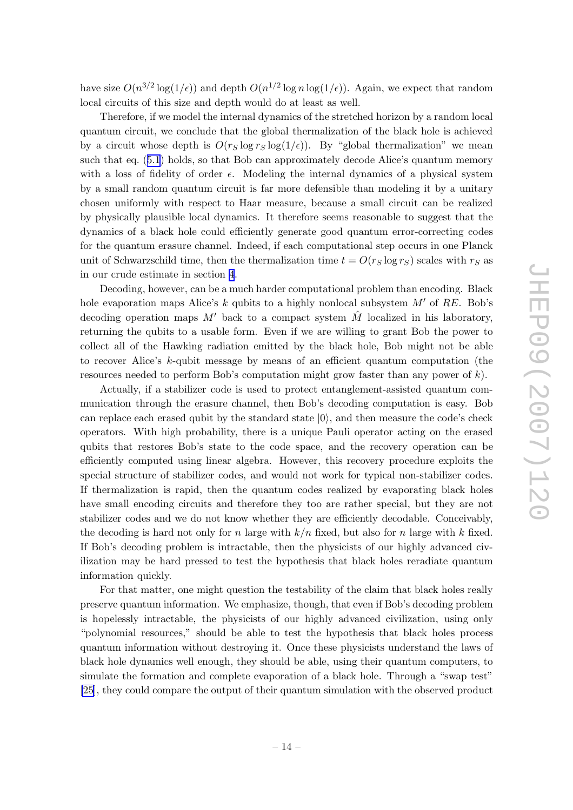have size  $O(n^{3/2} \log(1/\epsilon))$  and depth  $O(n^{1/2} \log n \log(1/\epsilon))$ . Again, we expect that random local circuits of this size and depth would do at least as well .

Therefore, if we model the internal dynamics of the stretched horizon by a random local quantum circuit, we conclude that the global thermalization of the black hole is achieved by a circuit whose depth is  $O(r_S \log r_S \log(1/\epsilon))$ . By "global thermalization" we mean such that eq.  $(5.1)$  $(5.1)$  $(5.1)$  holds, so that Bob can approximately decode Alice's quantum memory with a loss of fidelity of order  $\epsilon$ . Modeling the internal dynamics of a physical system by a small random quantum circuit is far more defensible than modeling it by a unitary chosen uniformly with respect to Haar measure, because a small circuit can be realized by physically plausible local dynamics. It therefore seems reasonable to suggest that the dynamics of a black hole could efficiently generate good quantum error-correcting codes for the quantum erasure channel. Indeed, if each computational step occurs in one Planck unit of Schwarzschild time, then the thermalization time  $t = O(r_S \log r_S)$  scales with  $r_S$  as in our crude estimate in section [4](#page-10-0).

Decoding, however, can be a much harder computational problem than encoding. Black hole evaporation maps Alice's  $k$  qubits to a highly nonlocal subsystem  $M'$  of RE. Bob's decoding operation maps  $M'$  back to a compact system  $\hat{M}$  localized in his laboratory, returning the qubits to a usable form. Even if we are willing to grant Bob the power to collect all of the Hawking radiation emitted by the black hole, Bob might not be able to recover Alice's k-qubit message by means of an efficient quantum computation (the resources needed to perform Bob's computation might grow faster than any power of  $k$ ).

Actually, if a stabilizer code is used to protect entanglement-assisted quantum communication through the erasure channel, then Bob's decoding computation is easy. Bob can replace each erased qubit by the standard state  $|0\rangle$ , and then measure the code's check operators. With high probability, there is a unique Pauli operator acting on the erased qubits that restores Bob's state to the code space, and the recovery operation can be efficiently computed using linear algebra. However, this recovery procedure exploits the special structure of stabilizer codes, and would not work for typical non-stabilizer codes. If thermalization is rapid, then the quantum codes realized by evaporating black holes have small encoding circuits and therefore they too are rather special, but they are not stabilizer codes and we do not know whether they are efficiently decodable. Conceivably, the decoding is hard not only for n large with  $k/n$  fixed, but also for n large with k fixed. If Bob's decoding problem is intractable, then the physicists of our highly advanced civilization may be hard pressed to test the hypothesis that black holes reradiate quantum information quickly.

For that matter, one might question the testability of the claim that black holes really preserve quantum information. We emphasize, though, that even if Bob's decoding problem is hopelessly intractable, the physicists of our highly advanced civilization, using only "polynomial resources," should be able to test the hypothesis that black holes process quantum information without destroying it. Once these physicists understand the laws of black hole dynamics well enough, they should be able, using their quantum computers, to simulate the formation and complete evaporation of a black hole. Through a "swap test" [\[25](#page-20-0)], they could compare the output of their quantum simulation with the observed product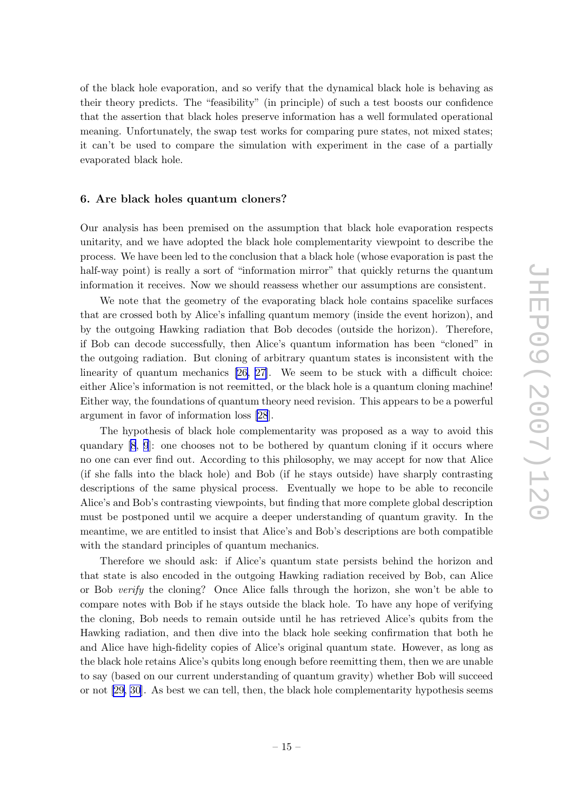<span id="page-15-0"></span>of the black hole evaporation, and so verify that the dynamical black hole is behaving as their theory predicts. The "feasibility" (in principle) of such a test boosts our confidence that the assertion that black holes preserve information has a well formulated operational meaning. Unfortunately, the swap test works for comparing pure states, not mixed states; it can't be used to compare the simulation with experiment in the case of a partially evaporated black hole.

#### 6. Are black holes quantum cloners?

Our analysis has been premised on the assumption that black hole evaporation respects unitarity, and we have adopted the black hole complementarity viewpoint to describe the process. We have been led to the conclusion that a black hole (whose evaporation is past the half-way point) is really a sort of "information mirror" that quickly returns the quantum information it receives. Now we should reassess whether our assumptions are consistent.

We note that the geometry of the evaporating black hole contains spacelike surfaces that are crossed both by Alice's infalling quantum memory (inside the event horizon), and by the outgoing Hawking radiation that Bob decodes (outside the horizon). Therefore, if Bob can decode successfully, then Alice's quantum information has been "cloned" in the outgoing radiation. But cloning of arbitrary quantum states is inconsistent with the linearity of quantum mechanics [\[26, 27\]](#page-20-0). We seem to be stuck with a difficult choice: either Alice's information is not reemitted, or the black hole is a quantum cloning machine! Either way, the foundations of quantum theory need revision. This appears to be a powerful argument in favor of information loss [\[28](#page-20-0)].

The hypothesis of black hole complementarity was proposed as a way to avoid this quandary[[8](#page-19-0), [9](#page-19-0)]: one chooses not to be bothered by quantum cloning if it occurs where no one can ever find out. According to this philosophy, we may accept for now that Alice (if she falls into the black hole) and Bob (if he stays outside) have sharply contrasting descriptions of the same physical process. Eventually we hope to be able to reconcile Alice's and Bob's contrasting viewpoints, but finding that more complete global description must be postponed until we acquire a deeper understanding of quantum gravity. In the meantime, we are entitled to insist that Alice's and Bob's descriptions are both compatible with the standard principles of quantum mechanics.

Therefore we should ask: if Alice's quantum state persists behind the horizon and that state is also encoded in the outgoing Hawking radiation received by Bob, can Alice or Bob verify the cloning? Once Alice falls through the horizon, she won't be able to compare notes with Bob if he stays outside the black hole. To have any hope of verifying the cloning, Bob needs to remain outside until he has retrieved Alice's qubits from the Hawking radiation, and then dive into the black hole seeking confirmation that both he and Alice have high-fidelity copies of Alice's original quantum state. However, as long as the black hole retains Alice's qubits long enough before reemitting them, then we are unable to say (based on our current understanding of quantum gravity) whether Bob will succeed or not [\[29, 30](#page-20-0)]. As best we can tell, then, the black hole complementarity hypothesis seems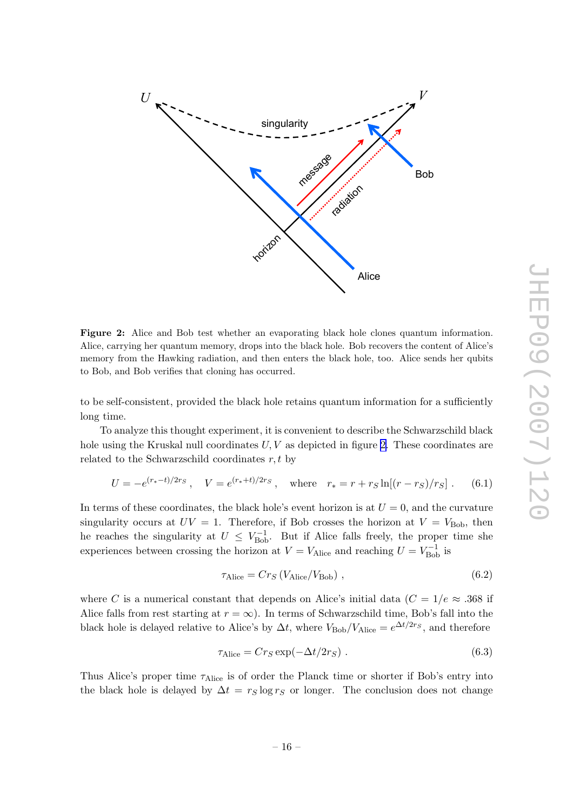

Figure 2: Alice and Bob test whether an evaporating black hole clones quantum information. Alice, carrying her quantum memory, drops into the black hole. Bob recovers the content of Alice's memory from the Hawking radiation, and then enters the black hole, too. Alice sends her qubits to Bob, and Bob verifies that cloning has occurred.

to be self-consistent, provided the black hole retains quantum information for a sufficiently long time.

To analyze this thought experiment, it is convenient to describe the Schwarzschild black hole using the Kruskal null coordinates  $U, V$  as depicted in figure 2. These coordinates are related to the Schwarzschild coordinates  $r, t$  by

$$
U = -e^{(r_*-t)/2rs}, \quad V = e^{(r_*+t)/2rs}, \quad \text{where} \quad r_* = r + r_S \ln[(r - r_S)/r_S]. \tag{6.1}
$$

In terms of these coordinates, the black hole's event horizon is at  $U=0$ , and the curvature singularity occurs at  $UV = 1$ . Therefore, if Bob crosses the horizon at  $V = V_{\text{Bob}}$ , then he reaches the singularity at  $U \n\t\le V_{\text{Bob}}^{-1}$ . But if Alice falls freely, the proper time she experiences between crossing the horizon at  $V = V_{\text{Alice}}$  and reaching  $U = V_{\text{Bob}}^{-1}$  is

$$
\tau_{\text{Alice}} = Cr_S \left( V_{\text{Alice}} / V_{\text{Bob}} \right) \,, \tag{6.2}
$$

where C is a numerical constant that depends on Alice's initial data  $(C = 1/e \approx .368$  if Alice falls from rest starting at  $r = \infty$ ). In terms of Schwarzschild time, Bob's fall into the black hole is delayed relative to Alice's by  $\Delta t$ , where  $V_{\rm Bob}/V_{\rm Alice} = e^{\Delta t/2r_S}$ , and therefore

$$
\tau_{\text{Alice}} = Cr_S \exp(-\Delta t/2r_S) \tag{6.3}
$$

Thus Alice's proper time  $\tau_{Alice}$  is of order the Planck time or shorter if Bob's entry into the black hole is delayed by  $\Delta t = r_S \log r_S$  or longer. The conclusion does not change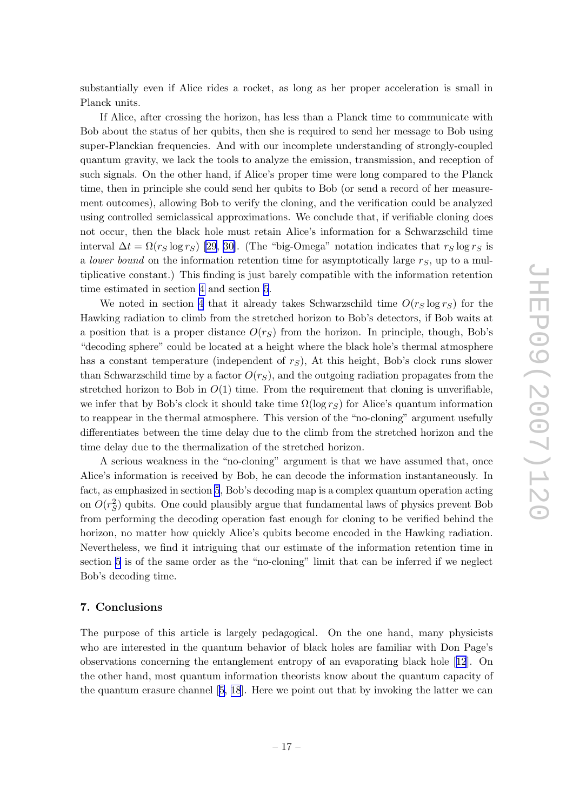<span id="page-17-0"></span>substantially even if Alice rides a rocket, as long as her proper acceleration is small in Planck units.

If Alice, after crossing the horizon, has less than a Planck time to communicate with Bob about the status of her qubits, then she is required to send her message to Bob using super-Planckian frequencies. And with our incomplete understanding of strongly-coupled quantum gravity, we lack the tools to analyze the emission, transmission, and reception of such signals. On the other hand, if Alice's proper time were long compared to the Planck time, then in principle she could send her qubits to Bob (or send a record of her measurement outcomes), allowing Bob to verify the cloning, and the verification could be analyzed using controlled semiclassical approximations. We conclude that, if verifiable cloning does not occur, then the black hole must retain Alice's information for a Schwarzschild time interval  $\Delta t = \Omega(r_S \log r_S)$  [\[29](#page-20-0), [30\]](#page-20-0). (The "big-Omega" notation indicates that  $r_S \log r_S$  is a *lower bound* on the information retention time for asymptotically large  $r<sub>S</sub>$ , up to a multiplicative constant.) This finding is just barely compatible with the information retention time estimated in section [4](#page-10-0) and section [5](#page-12-0).

We noted in section [4](#page-10-0) that it already takes Schwarzschild time  $O(r_S \log r_S)$  for the Hawking radiation to climb from the stretched horizon to Bob's detectors, if Bob waits at a position that is a proper distance  $O(r_S)$  from the horizon. In principle, though, Bob's "decoding sphere" could be located at a height where the black hole's thermal atmosphere has a constant temperature (independent of  $r_S$ ), At this height, Bob's clock runs slower than Schwarzschild time by a factor  $O(r_S)$ , and the outgoing radiation propagates from the stretched horizon to Bob in  $O(1)$  time. From the requirement that cloning is unverifiable, we infer that by Bob's clock it should take time  $\Omega(\log r_S)$  for Alice's quantum information to reappear in the thermal atmosphere. This version of the "no-cloning" argument usefully differentiates between the time delay due to the climb from the stretched horizon and the time delay due to the thermalization of the stretched horizon.

A serious weakness in the "no-cloning" argument is that we have assumed that, once Alice's information is received by Bob, he can decode the information instantaneously. In fact, as emphasized in section [5](#page-12-0), Bob's decoding map is a complex quantum operation acting on  $O(r_S^2)$  qubits. One could plausibly argue that fundamental laws of physics prevent Bob from performing the decoding operation fast enough for cloning to be verified behind the horizon, no matter how quickly Alice's qubits become encoded in the Hawking radiation. Nevertheless, we find it intriguing that our estimate of the information retention time in section [5](#page-12-0) is of the same order as the "no-cloning" limit that can be inferred if we neglect Bob's decoding time.

#### 7. Conclusions

The purpose of this article is largely pedagogical. On the one hand, many physicists who are interested in the quantum behavior of black holes are familiar with Don Page's observations concerning the entanglement entropy of an evaporating black hole[[12](#page-20-0)]. On the other hand, most quantum information theorists know about the quantum capacity of the quantum erasure channel[[5](#page-19-0), [18](#page-20-0)]. Here we point out that by invoking the latter we can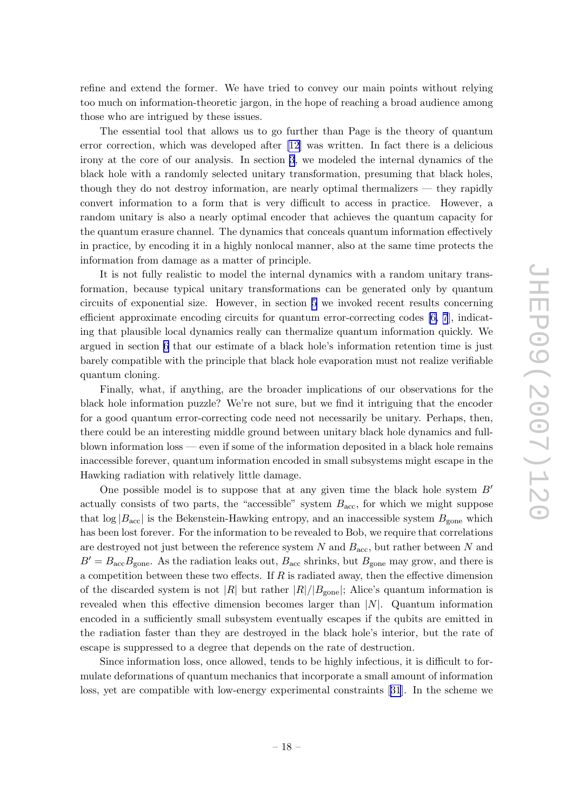refine and extend the former. We have tried to convey our main points without relying too much on information-theoretic jargon, in the hope of reaching a broad audience among those who are intrigued by these issues.

The essential tool that allows us to go further than Page is the theory of quantum error correction, which was developed after [\[12\]](#page-20-0) was written. In fact there is a delicious irony at the core of our analysis. In section [3](#page-4-0), we modeled the internal dynamics of the black hole with a randomly selected unitary transformation, presuming that black holes, though they do not destroy information, are nearly optimal thermalizers — they rapidly convert information to a form that is very difficult to access in practice. However, a random unitary is also a nearly optimal encoder that achieves the quantum capacity for the quantum erasure channel. The dynamics that conceals quantum information effectively in practice, by encoding it in a highly nonlocal manner, also at the same time protects the information from damage as a matter of principle.

It is not fully realistic to model the internal dynamics with a random unitary transformation, because typical unitary transformations can be generated only by quantum circuits of exponential size. However, in section [5](#page-12-0) we invoked recent results concerning efficient approximate encoding circuits for quantum error-correcting codes [\[6, 7](#page-19-0)], indicating that plausible local dynamics really can thermalize quantum information quickly. We argued in section [6](#page-15-0) that our estimate of a black hole's information retention time is just barely compatible with the principle that black hole evaporation must not realize verifiable quantum cloning.

Finally, what, if anything, are the broader implications of our observations for the black hole information puzzle? We're not sure, but we find it intriguing that the encoder for a good quantum error-correcting code need not necessarily be unitary. Perhaps, then, there could be an interesting middle ground between unitary black hole dynamics and fullblown information loss — even if some of the information deposited in a black hole remains inaccessible forever, quantum information encoded in small subsystems might escape in the Hawking radiation with relatively little damage.

One possible model is to suppose that at any given time the black hole system  $B'$ actually consists of two parts, the "accessible" system  $B_{\text{acc}}$ , for which we might suppose that  $\log |B_{\text{acc}}|$  is the Bekenstein-Hawking entropy, and an inaccessible system  $B_{\text{gone}}$  which has been lost forever. For the information to be revealed to Bob, we require that correlations are destroyed not just between the reference system N and  $B_{\text{acc}}$ , but rather between N and  $B' = B<sub>acc</sub>B<sub>gone</sub>$ . As the radiation leaks out,  $B<sub>acc</sub>$  shrinks, but  $B<sub>gone</sub>$  may grow, and there is a competition between these two effects. If  $R$  is radiated away, then the effective dimension of the discarded system is not |R| but rather  $|R|/|B_{\text{gone}}|$ ; Alice's quantum information is revealed when this effective dimension becomes larger than |N|. Quantum information encoded in a sufficiently small subsystem eventually escapes if the qubits are emitted in the radiation faster than they are destroyed in the black hole's interior, but the rate of escape is suppressed to a degree that depends on the rate of destruction.

Since information loss, once allowed, tends to be highly infectious, it is difficult to formulate deformations of quantum mechanics that incorporate a small amount of information loss, yet are compatible with low-energy experimental constraints[[31](#page-20-0)]. In the scheme we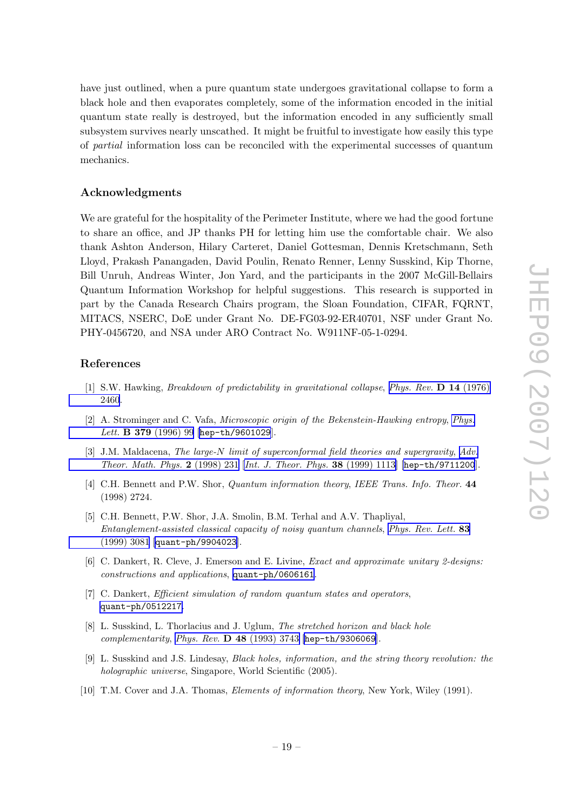<span id="page-19-0"></span>have just outlined, when a pure quantum state undergoes gravitational collapse to form a black hole and then evaporates completely, some of the information encoded in the initial quantum state really is destroyed, but the information encoded in any sufficiently small subsystem survives nearly unscathed. It might be fruitful to investigate how easily this type of partial information loss can be reconciled with the experimental successes of quantum mechanics.

## Acknowledgments

We are grateful for the hospitality of the Perimeter Institute, where we had the good fortune to share an office, and JP thanks PH for letting him use the comfortable chair. We also thank Ashton Anderson, Hilary Carteret, Daniel Gottesman, Dennis Kretschmann, Seth Lloyd, Prakash Panangaden, David Poulin, Renato Renner, Lenny Susskind, Kip Thorne, Bill Unruh, Andreas Winter, Jon Yard, and the participants in the 2007 McGill-Bellairs Quantum Information Workshop for helpful suggestions. This research is supported in part by the Canada Research Chairs program, the Sloan Foundation, CIFAR, FQRNT, MITACS, NSERC, DoE under Grant No. DE-FG03-92-ER40701, NSF under Grant No. PHY-0456720, and NSA under ARO Contract No. W911NF-05-1-0294.

## References

- [1] S.W. Hawking, Breakdown of predictability in gravitational collapse , [Phys. Rev.](http://www-spires.slac.stanford.edu/spires/find/hep/www?j=PHRVA%2CD14%2C2460) D 14 (1976) [2460](http://www-spires.slac.stanford.edu/spires/find/hep/www?j=PHRVA%2CD14%2C2460).
- [2] A. Strominger and C. Vafa, Microscopic origin of the Bekenstein-Hawking entropy , [Phys.](http://www-spires.slac.stanford.edu/spires/find/hep/www?j=PHLTA%2CB379%2C99) Lett. **B 379** [\(1996\) 99](http://www-spires.slac.stanford.edu/spires/find/hep/www?j=PHLTA%2CB379%2C99) [[hep-th/9601029](http://arxiv.org/abs/hep-th/9601029)].
- [3] J.M. Maldacena, The large-N limit of superconformal field theories and supergravity , [Adv.](http://www-spires.slac.stanford.edu/spires/find/hep/www?j=00203%2C2%2C231) [Theor. Math. Phys.](http://www-spires.slac.stanford.edu/spires/find/hep/www?j=00203%2C2%2C231) 2 (1998) 231 [[Int. J. Theor. Phys.](http://www-spires.slac.stanford.edu/spires/find/hep/www?j=IJTPB%2C38%2C1113) 38 (1999) 1113] [[hep-th/9711200](http://arxiv.org/abs/hep-th/9711200)].
- [4] C.H. Bennett and P.W. Shor, *Quantum information theory, IEEE Trans. Info. Theor.* 44 (1998) 2724.
- [5] C.H. Bennett, P.W. Shor, J.A. Smolin, B.M. Terhal and A.V. Thapliyal, Entanglement-assisted classical capacity of noisy quantum channels, [Phys. Rev. Lett.](http://www-spires.slac.stanford.edu/spires/find/hep/www?j=PRLTA%2C83%2C3081) 83 [\(1999\) 3081](http://www-spires.slac.stanford.edu/spires/find/hep/www?j=PRLTA%2C83%2C3081) [[quant-ph/9904023](http://arxiv.org/abs/quant-ph/9904023)].
- [6] C. Dankert, R. Cleve, J. Emerson and E. Livine, Exact and approximate unitary 2-designs: constructions and applications , [quant-ph/0606161](http://arxiv.org/abs/quant-ph/0606161) .
- [7] C. Dankert, *Efficient simulation of random quantum states and operators*, [quant-ph/0512217](http://arxiv.org/abs/quant-ph/0512217) .
- [8] L. Susskind, L. Thorlacius and J. Uglum, *The stretched horizon and black hole* complementarity, Phys. Rev. **D 48** [\(1993\) 3743](http://www-spires.slac.stanford.edu/spires/find/hep/www?j=PHRVA%2CD48%2C3743) [[hep-th/9306069](http://arxiv.org/abs/hep-th/9306069)].
- [9] L. Susskind and J.S. Lindesay, Black holes, information, and the string theory revolution: the holographic universe, Singapore, World Scientific (2005).
- [10] T.M. Cover and J.A. Thomas, Elements of information theory, New York, Wiley (1991).